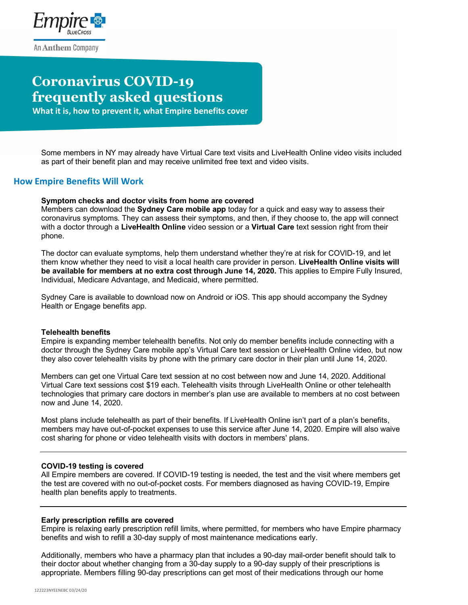

# **Coronavirus COVID-19 frequently asked questions**

 **What it is, how to prevent it, what Empire benefits cover**

Some members in NY may already have Virtual Care text visits and LiveHealth Online video visits included as part of their benefit plan and may receive unlimited free text and video visits.

### **How Empire Benefits Will Work**

### **Symptom checks and doctor visits from home are covered**

Members can download the **Sydney Care mobile app** today for a quick and easy way to assess their coronavirus symptoms. They can assess their symptoms, and then, if they choose to, the app will connect with a doctor through a **LiveHealth Online** video session or a **Virtual Care** text session right from their phone.

The doctor can evaluate symptoms, help them understand whether they're at risk for COVID-19, and let them know whether they need to visit a local health care provider in person. **LiveHealth Online visits will be available for members at no extra cost through June 14, 2020.** This applies to Empire Fully Insured, Individual, Medicare Advantage, and Medicaid, where permitted.

Sydney Care is available to download now on Android or iOS. This app should accompany the Sydney Health or Engage benefits app.

#### **Telehealth benefits**

Empire is expanding member telehealth benefits. Not only do member benefits include connecting with a doctor through the Sydney Care mobile app's Virtual Care text session or LiveHealth Online video, but now they also cover telehealth visits by phone with the primary care doctor in their plan until June 14, 2020.

Members can get one Virtual Care text session at no cost between now and June 14, 2020. Additional Virtual Care text sessions cost \$19 each. Telehealth visits through LiveHealth Online or other telehealth technologies that primary care doctors in member's plan use are available to members at no cost between now and June 14, 2020.

Most plans include telehealth as part of their benefits. If LiveHealth Online isn't part of a plan's benefits, members may have out-of-pocket expenses to use this service after June 14, 2020. Empire will also waive cost sharing for phone or video telehealth visits with doctors in members' plans.

#### **COVID-19 testing is covered**

All Empire members are covered. If COVID-19 testing is needed, the test and the visit where members get the test are covered with no out-of-pocket costs. For members diagnosed as having COVID-19, Empire health plan benefits apply to treatments.

#### **Early prescription refills are covered**

Empire is relaxing early prescription refill limits, where permitted, for members who have Empire pharmacy benefits and wish to refill a 30-day supply of most maintenance medications early.

Additionally, members who have a pharmacy plan that includes a 90-day mail-order benefit should talk to their doctor about whether changing from a 30-day supply to a 90-day supply of their prescriptions is appropriate. Members filling 90-day prescriptions can get most of their medications through our home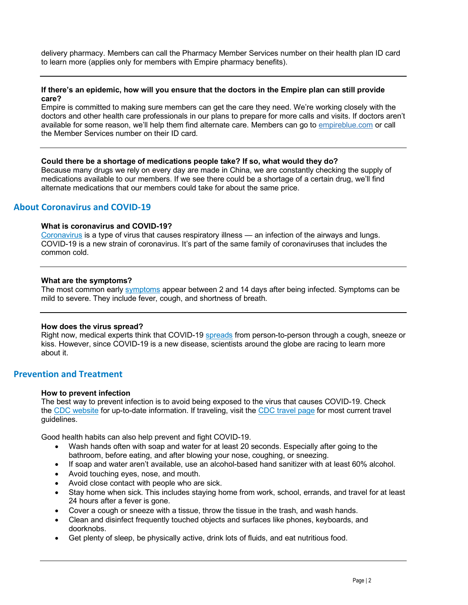delivery pharmacy. Members can call the Pharmacy Member Services number on their health plan ID card to learn more (applies only for members with Empire pharmacy benefits).

### **If there's an epidemic, how will you ensure that the doctors in the Empire plan can still provide care?**

Empire is committed to making sure members can get the care they need. We're working closely with the doctors and other health care professionals in our plans to prepare for more calls and visits. If doctors aren't available for some reason, we'll help them find alternate care. Members can go to empireblue.com or call the Member Services number on their ID card.

### **Could there be a shortage of medications people take? If so, what would they do?**

Because many drugs we rely on every day are made in China, we are constantly checking the supply of medications available to our members. If we see there could be a shortage of a certain drug, we'll find alternate medications that our members could take for about the same price.

### **About Coronavirus and COVID-19**

### **What is coronavirus and COVID-19?**

Coronavirus is a type of virus that causes respiratory illness — an infection of the airways and lungs. COVID-19 is a new strain of coronavirus. It's part of the same family of coronaviruses that includes the common cold.

### **What are the symptoms?**

The most common early symptoms appear between 2 and 14 days after being infected. Symptoms can be mild to severe. They include fever, cough, and shortness of breath.

#### **How does the virus spread?**

Right now, medical experts think that COVID-19 spreads from person-to-person through a cough, sneeze or kiss. However, since COVID-19 is a new disease, scientists around the globe are racing to learn more about it.

### **Prevention and Treatment**

#### **How to prevent infection**

The best way to prevent infection is to avoid being exposed to the virus that causes COVID-19. Check the CDC website for up-to-date information. If traveling, visit the CDC travel page for most current travel guidelines.

Good health habits can also help prevent and fight COVID-19.

- Wash hands often with soap and water for at least 20 seconds. Especially after going to the bathroom, before eating, and after blowing your nose, coughing, or sneezing.
- If soap and water aren't available, use an alcohol-based hand sanitizer with at least 60% alcohol.
- Avoid touching eyes, nose, and mouth.
- Avoid close contact with people who are sick.
- Stay home when sick. This includes staying home from work, school, errands, and travel for at least 24 hours after a fever is gone.
- Cover a cough or sneeze with a tissue, throw the tissue in the trash, and wash hands.
- Clean and disinfect frequently touched objects and surfaces like phones, keyboards, and doorknobs.
- Get plenty of sleep, be physically active, drink lots of fluids, and eat nutritious food.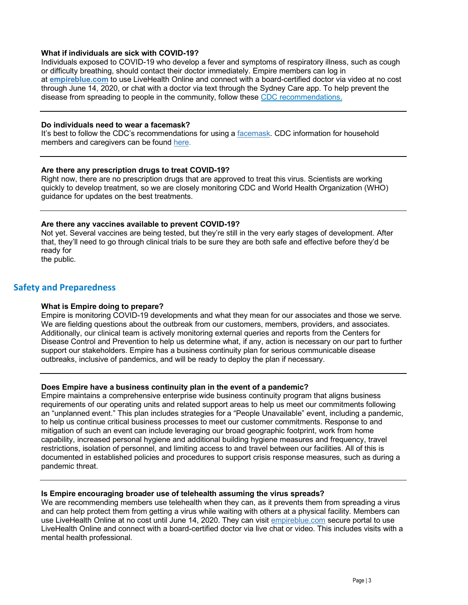### **What if individuals are sick with COVID-19?**

Individuals exposed to COVID-19 who develop a fever and symptoms of respiratory illness, such as cough or difficulty breathing, should contact their doctor immediately. Empire members can log in at **empireblue.com** to use LiveHealth Online and connect with a board-certified doctor via video at no cost through June 14, 2020, or chat with a doctor via text through the Sydney Care app. To help prevent the disease from spreading to people in the community, follow these CDC recommendations.

#### **Do individuals need to wear a facemask?**

It's best to follow the CDC's recommendations for using a facemask. CDC information for household members and caregivers can be found here.

### **Are there any prescription drugs to treat COVID-19?**

Right now, there are no prescription drugs that are approved to treat this virus. Scientists are working quickly to develop treatment, so we are closely monitoring CDC and World Health Organization (WHO) guidance for updates on the best treatments.

### **Are there any vaccines available to prevent COVID-19?**

Not yet. Several vaccines are being tested, but they're still in the very early stages of development. After that, they'll need to go through clinical trials to be sure they are both safe and effective before they'd be ready for the public.

### **Safety and Preparedness**

### **What is Empire doing to prepare?**

Empire is monitoring COVID-19 developments and what they mean for our associates and those we serve. We are fielding questions about the outbreak from our customers, members, providers, and associates. Additionally, our clinical team is actively monitoring external queries and reports from the Centers for Disease Control and Prevention to help us determine what, if any, action is necessary on our part to further support our stakeholders. Empire has a business continuity plan for serious communicable disease outbreaks, inclusive of pandemics, and will be ready to deploy the plan if necessary.

### **Does Empire have a business continuity plan in the event of a pandemic?**

Empire maintains a comprehensive enterprise wide business continuity program that aligns business requirements of our operating units and related support areas to help us meet our commitments following an "unplanned event." This plan includes strategies for a "People Unavailable" event, including a pandemic, to help us continue critical business processes to meet our customer commitments. Response to and mitigation of such an event can include leveraging our broad geographic footprint, work from home capability, increased personal hygiene and additional building hygiene measures and frequency, travel restrictions, isolation of personnel, and limiting access to and travel between our facilities. All of this is documented in established policies and procedures to support crisis response measures, such as during a pandemic threat.

#### **Is Empire encouraging broader use of telehealth assuming the virus spreads?**

We are recommending members use telehealth when they can, as it prevents them from spreading a virus and can help protect them from getting a virus while waiting with others at a physical facility. Members can use LiveHealth Online at no cost until June 14, 2020. They can visit empireblue.com secure portal to use LiveHealth Online and connect with a board-certified doctor via live chat or video. This includes visits with a mental health professional.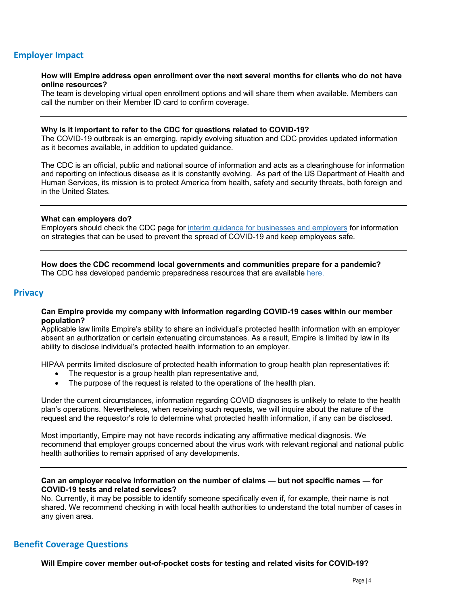## **Employer Impact**

#### **How will Empire address open enrollment over the next several months for clients who do not have online resources?**

The team is developing virtual open enrollment options and will share them when available. Members can call the number on their Member ID card to confirm coverage.

### **Why is it important to refer to the CDC for questions related to COVID-19?**

The COVID-19 outbreak is an emerging, rapidly evolving situation and CDC provides updated information as it becomes available, in addition to updated guidance.

The CDC is an official, public and national source of information and acts as a clearinghouse for information and reporting on infectious disease as it is constantly evolving. As part of the US Department of Health and Human Services, its mission is to protect America from health, safety and security threats, both foreign and in the United States.

#### **What can employers do?**

Employers should check the CDC page for interim guidance for businesses and employers for information on strategies that can be used to prevent the spread of COVID-19 and keep employees safe.

**How does the CDC recommend local governments and communities prepare for a pandemic?** The CDC has developed pandemic preparedness resources that are available here.

### **Privacy**

### **Can Empire provide my company with information regarding COVID-19 cases within our member population?**

Applicable law limits Empire's ability to share an individual's protected health information with an employer absent an authorization or certain extenuating circumstances. As a result, Empire is limited by law in its ability to disclose individual's protected health information to an employer.

HIPAA permits limited disclosure of protected health information to group health plan representatives if:

- The requestor is a group health plan representative and,
- The purpose of the request is related to the operations of the health plan.

Under the current circumstances, information regarding COVID diagnoses is unlikely to relate to the health plan's operations. Nevertheless, when receiving such requests, we will inquire about the nature of the request and the requestor's role to determine what protected health information, if any can be disclosed.

Most importantly, Empire may not have records indicating any affirmative medical diagnosis. We recommend that employer groups concerned about the virus work with relevant regional and national public health authorities to remain apprised of any developments.

**Can an employer receive information on the number of claims — but not specific names — for COVID-19 tests and related services?**

No. Currently, it may be possible to identify someone specifically even if, for example, their name is not shared. We recommend checking in with local health authorities to understand the total number of cases in any given area.

### **Benefit Coverage Questions**

**Will Empire cover member out-of-pocket costs for testing and related visits for COVID-19?**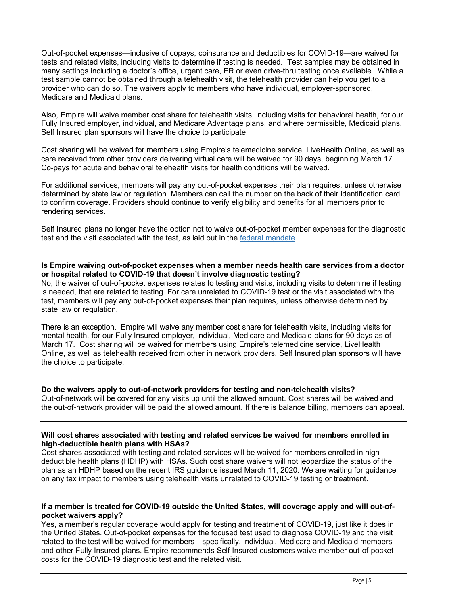Out-of-pocket expenses—inclusive of copays, coinsurance and deductibles for COVID-19—are waived for tests and related visits, including visits to determine if testing is needed. Test samples may be obtained in many settings including a doctor's office, urgent care, ER or even drive-thru testing once available. While a test sample cannot be obtained through a telehealth visit, the telehealth provider can help you get to a provider who can do so. The waivers apply to members who have individual, employer-sponsored, Medicare and Medicaid plans.

Also, Empire will waive member cost share for telehealth visits, including visits for behavioral health, for our Fully Insured employer, individual, and Medicare Advantage plans, and where permissible, Medicaid plans. Self Insured plan sponsors will have the choice to participate.

Cost sharing will be waived for members using Empire's telemedicine service, LiveHealth Online, as well as care received from other providers delivering virtual care will be waived for 90 days, beginning March 17. Co-pays for acute and behavioral telehealth visits for health conditions will be waived.

For additional services, members will pay any out-of-pocket expenses their plan requires, unless otherwise determined by state law or regulation. Members can call the number on the back of their identification card to confirm coverage. Providers should continue to verify eligibility and benefits for all members prior to rendering services.

Self Insured plans no longer have the option not to waive out-of-pocket member expenses for the diagnostic test and the visit associated with the test, as laid out in the federal mandate.

### **Is Empire waiving out-of-pocket expenses when a member needs health care services from a doctor or hospital related to COVID-19 that doesn't involve diagnostic testing?**

No, the waiver of out-of-pocket expenses relates to testing and visits, including visits to determine if testing is needed, that are related to testing. For care unrelated to COVID-19 test or the visit associated with the test, members will pay any out-of-pocket expenses their plan requires, unless otherwise determined by state law or regulation.

There is an exception. Empire will waive any member cost share for telehealth visits, including visits for mental health, for our Fully Insured employer, individual, Medicare and Medicaid plans for 90 days as of March 17. Cost sharing will be waived for members using Empire's telemedicine service, LiveHealth Online, as well as telehealth received from other in network providers. Self Insured plan sponsors will have the choice to participate.

### **Do the waivers apply to out-of-network providers for testing and non-telehealth visits?**

Out-of-network will be covered for any visits up until the allowed amount. Cost shares will be waived and the out-of-network provider will be paid the allowed amount. If there is balance billing, members can appeal.

### **Will cost shares associated with testing and related services be waived for members enrolled in high-deductible health plans with HSAs?**

Cost shares associated with testing and related services will be waived for members enrolled in highdeductible health plans (HDHP) with HSAs. Such cost share waivers will not jeopardize the status of the plan as an HDHP based on the recent IRS guidance issued March 11, 2020. We are waiting for guidance on any tax impact to members using telehealth visits unrelated to COVID-19 testing or treatment.

### **If a member is treated for COVID-19 outside the United States, will coverage apply and will out-ofpocket waivers apply?**

Yes, a member's regular coverage would apply for testing and treatment of COVID-19, just like it does in the United States. Out-of-pocket expenses for the focused test used to diagnose COVID-19 and the visit related to the test will be waived for members—specifically, individual, Medicare and Medicaid members and other Fully Insured plans. Empire recommends Self Insured customers waive member out-of-pocket costs for the COVID-19 diagnostic test and the related visit.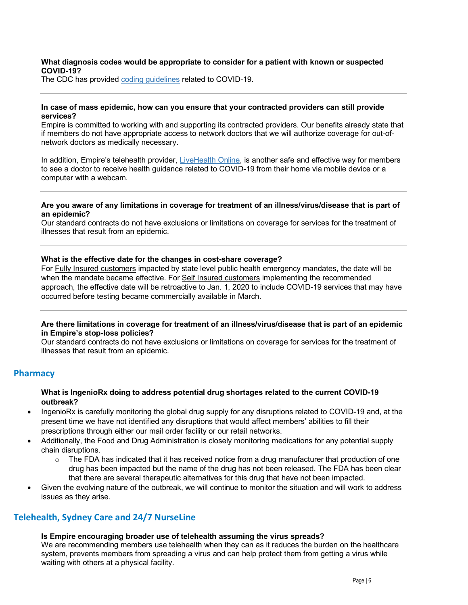### **What diagnosis codes would be appropriate to consider for a patient with known or suspected COVID-19?**

The CDC has provided coding guidelines related to COVID-19.

### **In case of mass epidemic, how can you ensure that your contracted providers can still provide services?**

Empire is committed to working with and supporting its contracted providers. Our benefits already state that if members do not have appropriate access to network doctors that we will authorize coverage for out-ofnetwork doctors as medically necessary.

In addition, Empire's telehealth provider, LiveHealth Online, is another safe and effective way for members to see a doctor to receive health guidance related to COVID-19 from their home via mobile device or a computer with a webcam.

### **Are you aware of any limitations in coverage for treatment of an illness/virus/disease that is part of an epidemic?**

Our standard contracts do not have exclusions or limitations on coverage for services for the treatment of illnesses that result from an epidemic.

### **What is the effective date for the changes in cost-share coverage?**

For Fully Insured customers impacted by state level public health emergency mandates, the date will be when the mandate became effective. For Self Insured customers implementing the recommended approach, the effective date will be retroactive to Jan. 1, 2020 to include COVID-19 services that may have occurred before testing became commercially available in March.

### **Are there limitations in coverage for treatment of an illness/virus/disease that is part of an epidemic in Empire's stop-loss policies?**

Our standard contracts do not have exclusions or limitations on coverage for services for the treatment of illnesses that result from an epidemic.

### **Pharmacy**

### **What is IngenioRx doing to address potential drug shortages related to the current COVID-19 outbreak?**

- IngenioRx is carefully monitoring the global drug supply for any disruptions related to COVID-19 and, at the present time we have not identified any disruptions that would affect members' abilities to fill their prescriptions through either our mail order facility or our retail networks.
- Additionally, the Food and Drug Administration is closely monitoring medications for any potential supply chain disruptions.
	- $\circ$  The FDA has indicated that it has received notice from a drug manufacturer that production of one drug has been impacted but the name of the drug has not been released. The FDA has been clear that there are several therapeutic alternatives for this drug that have not been impacted.
- Given the evolving nature of the outbreak, we will continue to monitor the situation and will work to address issues as they arise.

### **Telehealth, Sydney Care and 24/7 NurseLine**

#### **Is Empire encouraging broader use of telehealth assuming the virus spreads?**

We are recommending members use telehealth when they can as it reduces the burden on the healthcare system, prevents members from spreading a virus and can help protect them from getting a virus while waiting with others at a physical facility.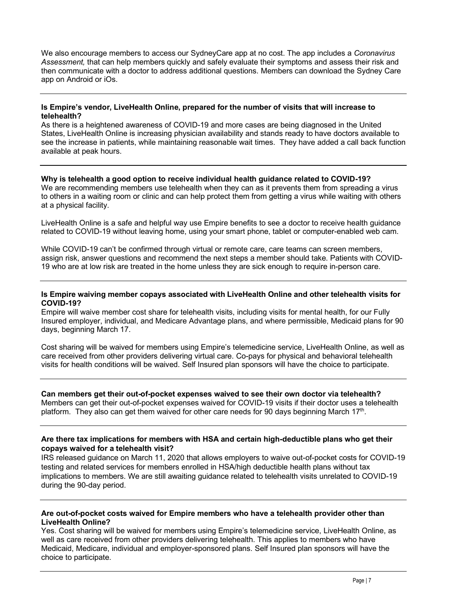We also encourage members to access our SydneyCare app at no cost. The app includes a *Coronavirus Assessment,* that can help members quickly and safely evaluate their symptoms and assess their risk and then communicate with a doctor to address additional questions. Members can download the Sydney Care app on Android or iOs.

### **Is Empire's vendor, LiveHealth Online, prepared for the number of visits that will increase to telehealth?**

As there is a heightened awareness of COVID-19 and more cases are being diagnosed in the United States, LiveHealth Online is increasing physician availability and stands ready to have doctors available to see the increase in patients, while maintaining reasonable wait times. They have added a call back function available at peak hours.

### **Why is telehealth a good option to receive individual health guidance related to COVID-19?**

We are recommending members use telehealth when they can as it prevents them from spreading a virus to others in a waiting room or clinic and can help protect them from getting a virus while waiting with others at a physical facility.

LiveHealth Online is a safe and helpful way use Empire benefits to see a doctor to receive health guidance related to COVID-19 without leaving home, using your smart phone, tablet or computer-enabled web cam.

While COVID-19 can't be confirmed through virtual or remote care, care teams can screen members, assign risk, answer questions and recommend the next steps a member should take. Patients with COVID-19 who are at low risk are treated in the home unless they are sick enough to require in-person care.

### **Is Empire waiving member copays associated with LiveHealth Online and other telehealth visits for COVID-19?**

Empire will waive member cost share for telehealth visits, including visits for mental health, for our Fully Insured employer, individual, and Medicare Advantage plans, and where permissible, Medicaid plans for 90 days, beginning March 17.

Cost sharing will be waived for members using Empire's telemedicine service, LiveHealth Online, as well as care received from other providers delivering virtual care. Co-pays for physical and behavioral telehealth visits for health conditions will be waived. Self Insured plan sponsors will have the choice to participate.

**Can members get their out-of-pocket expenses waived to see their own doctor via telehealth?** Members can get their out-of-pocket expenses waived for COVID-19 visits if their doctor uses a telehealth platform. They also can get them waived for other care needs for 90 days beginning March 17th.

### **Are there tax implications for members with HSA and certain high-deductible plans who get their copays waived for a telehealth visit?**

IRS released guidance on March 11, 2020 that allows employers to waive out-of-pocket costs for COVID-19 testing and related services for members enrolled in HSA/high deductible health plans without tax implications to members. We are still awaiting guidance related to telehealth visits unrelated to COVID-19 during the 90-day period.

### **Are out-of-pocket costs waived for Empire members who have a telehealth provider other than LiveHealth Online?**

Yes. Cost sharing will be waived for members using Empire's telemedicine service, LiveHealth Online, as well as care received from other providers delivering telehealth. This applies to members who have Medicaid, Medicare, individual and employer-sponsored plans. Self Insured plan sponsors will have the choice to participate.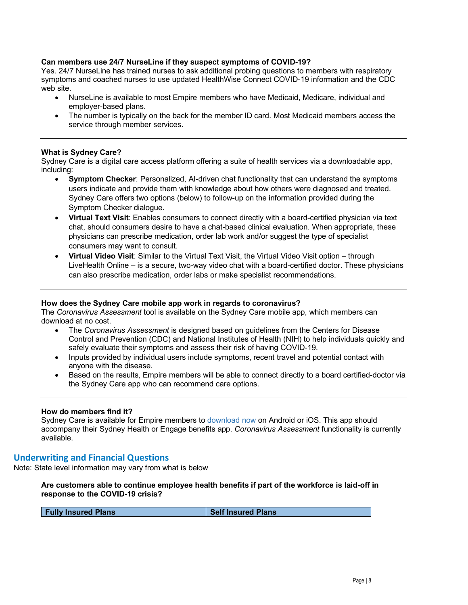### **Can members use 24/7 NurseLine if they suspect symptoms of COVID-19?**

Yes. 24/7 NurseLine has trained nurses to ask additional probing questions to members with respiratory symptoms and coached nurses to use updated HealthWise Connect COVID-19 information and the CDC web site.

- NurseLine is available to most Empire members who have Medicaid, Medicare, individual and employer-based plans.
- The number is typically on the back for the member ID card. Most Medicaid members access the service through member services.

### **What is Sydney Care?**

Sydney Care is a digital care access platform offering a suite of health services via a downloadable app, including:

- **Symptom Checker**: Personalized, AI-driven chat functionality that can understand the symptoms users indicate and provide them with knowledge about how others were diagnosed and treated. Sydney Care offers two options (below) to follow-up on the information provided during the Symptom Checker dialogue.
- **Virtual Text Visit**: Enables consumers to connect directly with a board-certified physician via text chat, should consumers desire to have a chat-based clinical evaluation. When appropriate, these physicians can prescribe medication, order lab work and/or suggest the type of specialist consumers may want to consult.
- **Virtual Video Visit**: Similar to the Virtual Text Visit, the Virtual Video Visit option through LiveHealth Online – is a secure, two-way video chat with a board-certified doctor. These physicians can also prescribe medication, order labs or make specialist recommendations.

### **How does the Sydney Care mobile app work in regards to coronavirus?**

The *Coronavirus Assessment* tool is available on the Sydney Care mobile app, which members can download at no cost.

- The *Coronavirus Assessment* is designed based on guidelines from the Centers for Disease Control and Prevention (CDC) and National Institutes of Health (NIH) to help individuals quickly and safely evaluate their symptoms and assess their risk of having COVID-19.
- Inputs provided by individual users include symptoms, recent travel and potential contact with anyone with the disease.
- Based on the results, Empire members will be able to connect directly to a board certified-doctor via the Sydney Care app who can recommend care options.

### **How do members find it?**

Sydney Care is available for Empire members to download now on Android or iOS. This app should accompany their Sydney Health or Engage benefits app. *Coronavirus Assessment* functionality is currently available.

### **Underwriting and Financial Questions**

Note: State level information may vary from what is below

**Are customers able to continue employee health benefits if part of the workforce is laid-off in response to the COVID-19 crisis?**

**Fully Insured Plans** Self Insured Plans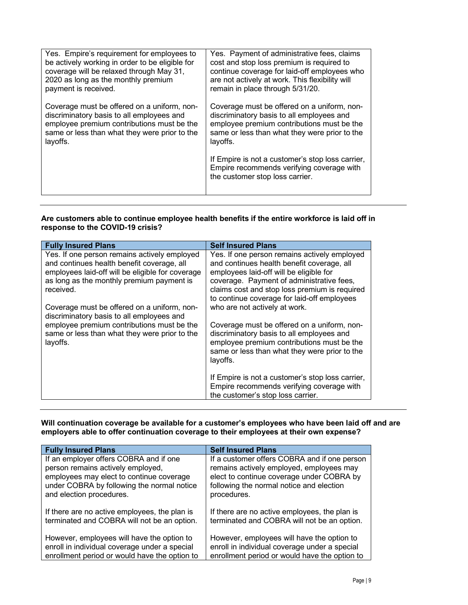| Yes. Empire's requirement for employees to      | Yes. Payment of administrative fees, claims                                                                                      |
|-------------------------------------------------|----------------------------------------------------------------------------------------------------------------------------------|
| be actively working in order to be eligible for | cost and stop loss premium is required to                                                                                        |
| coverage will be relaxed through May 31,        | continue coverage for laid-off employees who                                                                                     |
| 2020 as long as the monthly premium             | are not actively at work. This flexibility will                                                                                  |
| payment is received.                            | remain in place through 5/31/20.                                                                                                 |
| Coverage must be offered on a uniform, non-     | Coverage must be offered on a uniform, non-                                                                                      |
| discriminatory basis to all employees and       | discriminatory basis to all employees and                                                                                        |
| employee premium contributions must be the      | employee premium contributions must be the                                                                                       |
| same or less than what they were prior to the   | same or less than what they were prior to the                                                                                    |
| layoffs.                                        | layoffs.                                                                                                                         |
|                                                 | If Empire is not a customer's stop loss carrier,<br>Empire recommends verifying coverage with<br>the customer stop loss carrier. |

### **Are customers able to continue employee health benefits if the entire workforce is laid off in response to the COVID-19 crisis?**

| <b>Fully Insured Plans</b>                                                                              | <b>Self Insured Plans</b>                                                                                                                                                                           |
|---------------------------------------------------------------------------------------------------------|-----------------------------------------------------------------------------------------------------------------------------------------------------------------------------------------------------|
| Yes. If one person remains actively employed                                                            | Yes. If one person remains actively employed                                                                                                                                                        |
| and continues health benefit coverage, all                                                              | and continues health benefit coverage, all                                                                                                                                                          |
| employees laid-off will be eligible for coverage                                                        | employees laid-off will be eligible for                                                                                                                                                             |
| as long as the monthly premium payment is                                                               | coverage. Payment of administrative fees,                                                                                                                                                           |
| received.                                                                                               | claims cost and stop loss premium is required                                                                                                                                                       |
|                                                                                                         | to continue coverage for laid-off employees                                                                                                                                                         |
| Coverage must be offered on a uniform, non-                                                             | who are not actively at work.                                                                                                                                                                       |
| discriminatory basis to all employees and                                                               |                                                                                                                                                                                                     |
| employee premium contributions must be the<br>same or less than what they were prior to the<br>layoffs. | Coverage must be offered on a uniform, non-<br>discriminatory basis to all employees and<br>employee premium contributions must be the<br>same or less than what they were prior to the<br>layoffs. |
|                                                                                                         | If Empire is not a customer's stop loss carrier,<br>Empire recommends verifying coverage with<br>the customer's stop loss carrier.                                                                  |

### **Will continuation coverage be available for a customer's employees who have been laid off and are employers able to offer continuation coverage to their employees at their own expense?**

| <b>Fully Insured Plans</b>                    | <b>Self Insured Plans</b>                     |
|-----------------------------------------------|-----------------------------------------------|
| If an employer offers COBRA and if one        | If a customer offers COBRA and if one person  |
| person remains actively employed,             | remains actively employed, employees may      |
| employees may elect to continue coverage      | elect to continue coverage under COBRA by     |
| under COBRA by following the normal notice    | following the normal notice and election      |
| and election procedures.                      | procedures.                                   |
| If there are no active employees, the plan is | If there are no active employees, the plan is |
| terminated and COBRA will not be an option.   | terminated and COBRA will not be an option.   |
| However, employees will have the option to    | However, employees will have the option to    |
| enroll in individual coverage under a special | enroll in individual coverage under a special |
| enrollment period or would have the option to | enrollment period or would have the option to |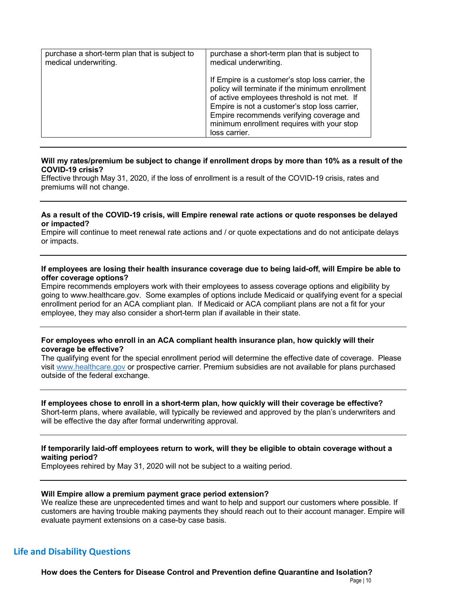| purchase a short-term plan that is subject to | purchase a short-term plan that is subject to                                                                                                                                                                                                                                                                   |
|-----------------------------------------------|-----------------------------------------------------------------------------------------------------------------------------------------------------------------------------------------------------------------------------------------------------------------------------------------------------------------|
| medical underwriting.                         | medical underwriting.                                                                                                                                                                                                                                                                                           |
|                                               | If Empire is a customer's stop loss carrier, the<br>policy will terminate if the minimum enrollment<br>of active employees threshold is not met. If<br>Empire is not a customer's stop loss carrier,<br>Empire recommends verifying coverage and<br>minimum enrollment requires with your stop<br>loss carrier. |

### **Will my rates/premium be subject to change if enrollment drops by more than 10% as a result of the COVID-19 crisis?**

Effective through May 31, 2020, if the loss of enrollment is a result of the COVID-19 crisis, rates and premiums will not change.

### **As a result of the COVID-19 crisis, will Empire renewal rate actions or quote responses be delayed or impacted?**

Empire will continue to meet renewal rate actions and / or quote expectations and do not anticipate delays or impacts.

### **If employees are losing their health insurance coverage due to being laid-off, will Empire be able to offer coverage options?**

Empire recommends employers work with their employees to assess coverage options and eligibility by going to www.healthcare.gov. Some examples of options include Medicaid or qualifying event for a special enrollment period for an ACA compliant plan. If Medicaid or ACA compliant plans are not a fit for your employee, they may also consider a short-term plan if available in their state.

### **For employees who enroll in an ACA compliant health insurance plan, how quickly will their coverage be effective?**

The qualifying event for the special enrollment period will determine the effective date of coverage. Please visit www.healthcare.gov or prospective carrier. Premium subsidies are not available for plans purchased outside of the federal exchange.

### **If employees chose to enroll in a short-term plan, how quickly will their coverage be effective?**

Short-term plans, where available, will typically be reviewed and approved by the plan's underwriters and will be effective the day after formal underwriting approval.

### **If temporarily laid-off employees return to work, will they be eligible to obtain coverage without a waiting period?**

Employees rehired by May 31, 2020 will not be subject to a waiting period.

### **Will Empire allow a premium payment grace period extension?**

We realize these are unprecedented times and want to help and support our customers where possible. If customers are having trouble making payments they should reach out to their account manager. Empire will evaluate payment extensions on a case-by case basis.

## **Life and Disability Questions**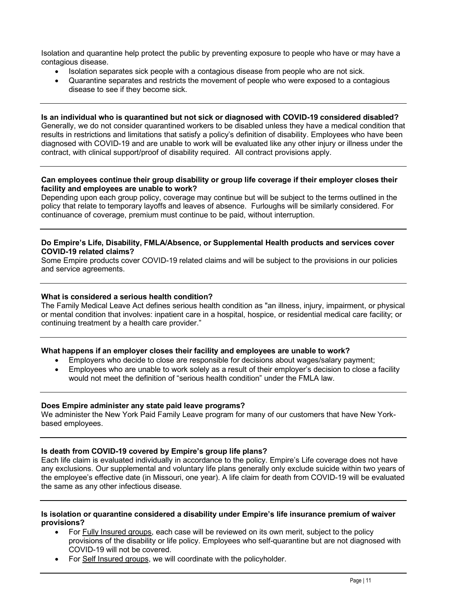Isolation and quarantine help protect the public by preventing exposure to people who have or may have a contagious disease.

- Isolation separates sick people with a contagious disease from people who are not sick.
- Quarantine separates and restricts the movement of people who were exposed to a contagious disease to see if they become sick.

**Is an individual who is quarantined but not sick or diagnosed with COVID-19 considered disabled?**  Generally, we do not consider quarantined workers to be disabled unless they have a medical condition that results in restrictions and limitations that satisfy a policy's definition of disability. Employees who have been diagnosed with COVID-19 and are unable to work will be evaluated like any other injury or illness under the contract, with clinical support/proof of disability required. All contract provisions apply.

### **Can employees continue their group disability or group life coverage if their employer closes their facility and employees are unable to work?**

Depending upon each group policy, coverage may continue but will be subject to the terms outlined in the policy that relate to temporary layoffs and leaves of absence. Furloughs will be similarly considered. For continuance of coverage, premium must continue to be paid, without interruption.

### **Do Empire's Life, Disability, FMLA/Absence, or Supplemental Health products and services cover COVID-19 related claims?**

Some Empire products cover COVID-19 related claims and will be subject to the provisions in our policies and service agreements.

### **What is considered a serious health condition?**

The Family Medical Leave Act defines serious health condition as "an illness, injury, impairment, or physical or mental condition that involves: inpatient care in a hospital, hospice, or residential medical care facility; or continuing treatment by a health care provider."

### **What happens if an employer closes their facility and employees are unable to work?**

- Employers who decide to close are responsible for decisions about wages/salary payment;
- Employees who are unable to work solely as a result of their employer's decision to close a facility would not meet the definition of "serious health condition" under the FMLA law.

### **Does Empire administer any state paid leave programs?**

We administer the New York Paid Family Leave program for many of our customers that have New Yorkbased employees.

### **Is death from COVID-19 covered by Empire's group life plans?**

Each life claim is evaluated individually in accordance to the policy. Empire's Life coverage does not have any exclusions. Our supplemental and voluntary life plans generally only exclude suicide within two years of the employee's effective date (in Missouri, one year). A life claim for death from COVID-19 will be evaluated the same as any other infectious disease.

### **Is isolation or quarantine considered a disability under Empire's life insurance premium of waiver provisions?**

- For Fully Insured groups, each case will be reviewed on its own merit, subject to the policy provisions of the disability or life policy. Employees who self-quarantine but are not diagnosed with COVID-19 will not be covered.
- For Self Insured groups, we will coordinate with the policyholder.